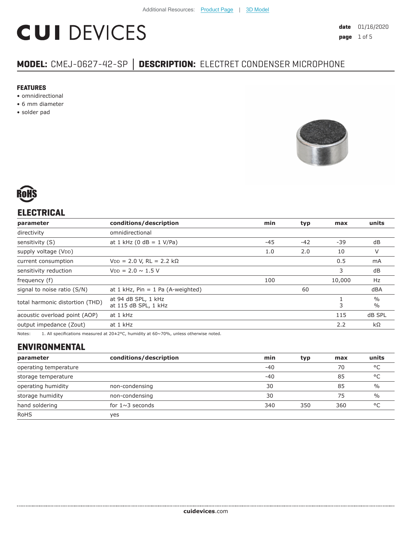# **CUI DEVICES**

# **MODEL:** CMEJ-0627-42-SP **│ DESCRIPTION:** ELECTRET CONDENSER MICROPHONE

#### **FEATURES**

- omnidirectional
- 6 mm diameter
- solder pad





## **ELECTRICAL**

| parameter                                                                      | conditions/description                | min   | typ   | max    | units                          |
|--------------------------------------------------------------------------------|---------------------------------------|-------|-------|--------|--------------------------------|
| directivity                                                                    | omnidirectional                       |       |       |        |                                |
| sensitivity (S)                                                                | at 1 kHz (0 dB = $1$ V/Pa)            | $-45$ | $-42$ | $-39$  | dB                             |
| supply voltage (VDD)                                                           |                                       | 1.0   | 2.0   | 10     | V                              |
| current consumption                                                            | $VDD = 2.0 V$ , RL = 2.2 kΩ           |       |       | 0.5    | mA                             |
| sensitivity reduction                                                          | $V_{DD} = 2.0 \sim 1.5 V$             |       |       | 3      | dB                             |
| frequency (f)                                                                  |                                       | 100   |       | 10,000 | Hz                             |
| signal to noise ratio (S/N)                                                    | at $1$ kHz, Pin = $1$ Pa (A-weighted) |       | 60    |        | dBA                            |
| at 94 dB SPL, 1 kHz<br>total harmonic distortion (THD)<br>at 115 dB SPL, 1 kHz |                                       |       |       | 3      | $\frac{0}{0}$<br>$\frac{0}{0}$ |
| acoustic overload point (AOP)                                                  | at 1 kHz                              | 115   |       |        | dB SPL                         |
| output impedance (Zout)                                                        | at 1 kHz                              |       |       | 2.2    | kΩ                             |
|                                                                                |                                       |       |       |        |                                |

Notes: 1. All specifications measured at 20±2°C, humidity at 60~70%, unless otherwise noted.

### **ENVIRONMENTAL**

| parameter             | conditions/description | min   | typ | max | units         |
|-----------------------|------------------------|-------|-----|-----|---------------|
| operating temperature |                        | $-40$ |     | 70  | °C            |
| storage temperature   |                        | $-40$ |     | 85  | °C            |
| operating humidity    | non-condensing         | 30    |     | 85  | $\frac{0}{0}$ |
| storage humidity      | non-condensing         | 30    |     | 75  | $\frac{0}{0}$ |
| hand soldering        | for $1 \sim 3$ seconds | 340   | 350 | 360 | °C            |
| <b>RoHS</b>           | ves                    |       |     |     |               |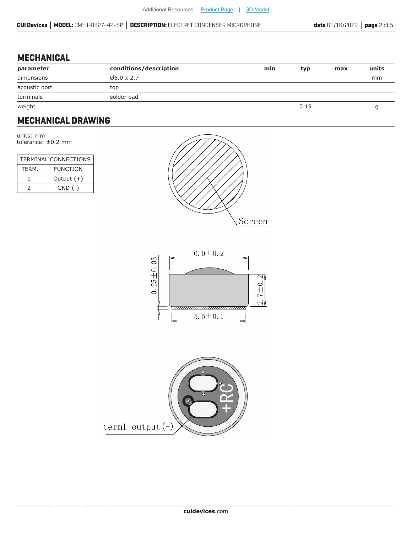#### **MECHANICAL**

| parameter     | conditions/description | min | typ  | max | units |
|---------------|------------------------|-----|------|-----|-------|
| dimensions    | $06.0 \times 2.7$      |     |      |     | mm    |
| acoustic port | top                    |     |      |     |       |
| terminals     | solder pad             |     |      |     |       |
| weight        |                        |     | 0.19 |     |       |

#### **MECHANICAL DRAWING**

units: mm tolerance: ±0.2 mm

| TERMINAL CONNECTIONS |                 |  |  |
|----------------------|-----------------|--|--|
| TFRM.                | <b>FUNCTION</b> |  |  |
|                      | Output $(+)$    |  |  |
| $\mathcal{L}$        | $GND$ $(-)$     |  |  |





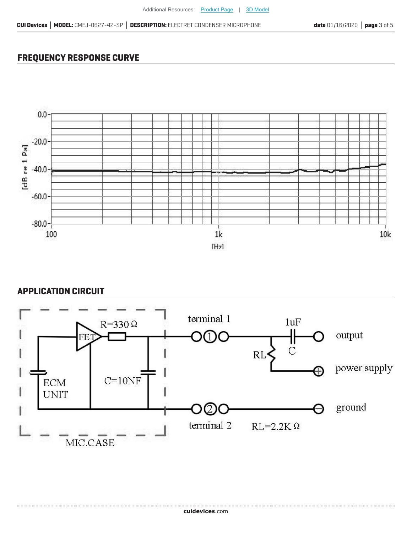#### **FREQUENCY RESPONSE CURVE**



#### **APPLICATION CIRCUIT**

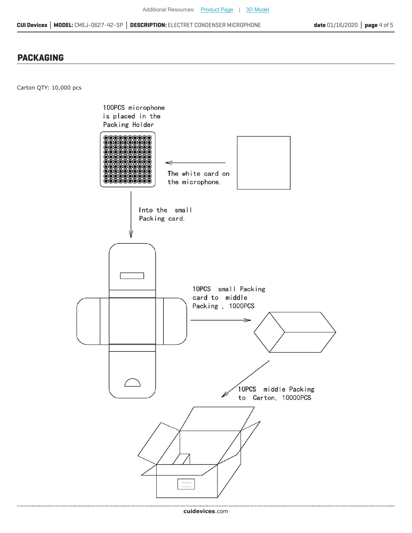#### **PACKAGING**

Carton QTY: 10,000 pcs